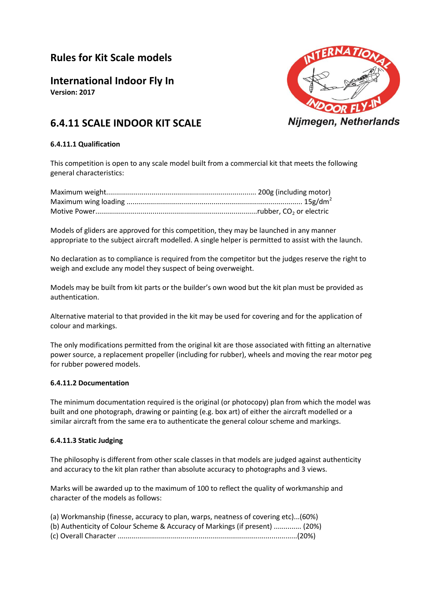# **Rules for Kit Scale models**

**International Indoor Fly In**

**Version: 2017**



# **6.4.11 SCALE INDOOR KIT SCALE**

### **6.4.11.1 Qualification**

This competition is open to any scale model built from a commercial kit that meets the following general characteristics:

Models of gliders are approved for this competition, they may be launched in any manner appropriate to the subject aircraft modelled. A single helper is permitted to assist with the launch.

No declaration as to compliance is required from the competitor but the judges reserve the right to weigh and exclude any model they suspect of being overweight.

Models may be built from kit parts or the builder's own wood but the kit plan must be provided as authentication.

Alternative material to that provided in the kit may be used for covering and for the application of colour and markings.

The only modifications permitted from the original kit are those associated with fitting an alternative power source, a replacement propeller (including for rubber), wheels and moving the rear motor peg for rubber powered models.

#### **6.4.11.2 Documentation**

The minimum documentation required is the original (or photocopy) plan from which the model was built and one photograph, drawing or painting (e.g. box art) of either the aircraft modelled or a similar aircraft from the same era to authenticate the general colour scheme and markings.

# **6.4.11.3 Static Judging**

The philosophy is different from other scale classes in that models are judged against authenticity and accuracy to the kit plan rather than absolute accuracy to photographs and 3 views.

Marks will be awarded up to the maximum of 100 to reflect the quality of workmanship and character of the models as follows:

|  | (a) Workmanship (finesse, accuracy to plan, warps, neatness of covering etc)(60%) |  |
|--|-----------------------------------------------------------------------------------|--|
|  | (b) Authenticity of Colour Scheme & Accuracy of Markings (if present)  (20%)      |  |
|  |                                                                                   |  |